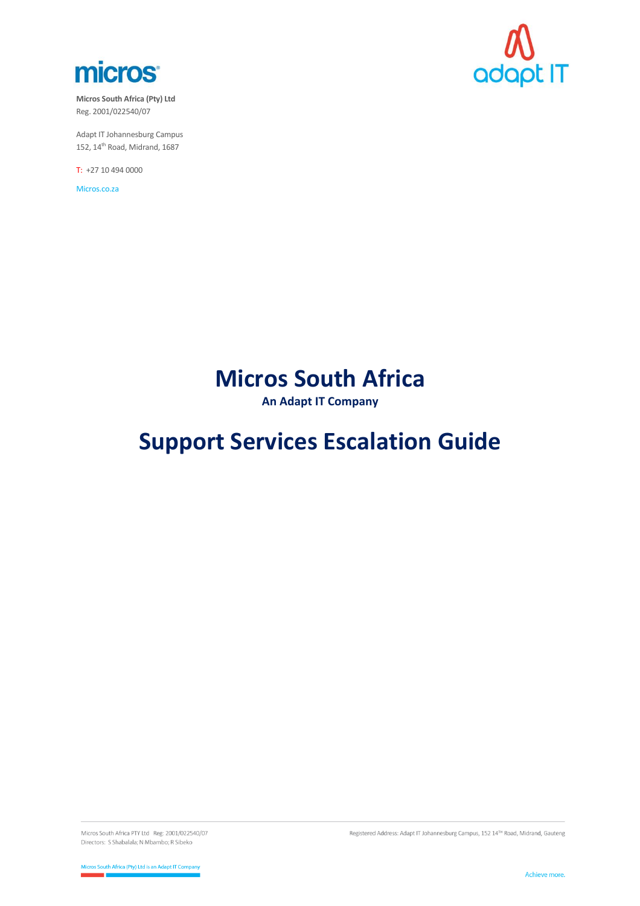

**Micros South Africa (Pty) Ltd** Reg. 2001/022540/07

Adapt IT Johannesburg Campus 152,  $14^{\text{th}}$  Road, Midrand, 1687

T: +27 10 494 0000

Micros.co.za



# **Micros South Africa**

**An Adapt IT Company**

# **Support Services Escalation Guide**

Micros South Africa PTY Ltd Reg: 2001/022540/07 Directors: S Shabalala; N Mbambo; R Sibeko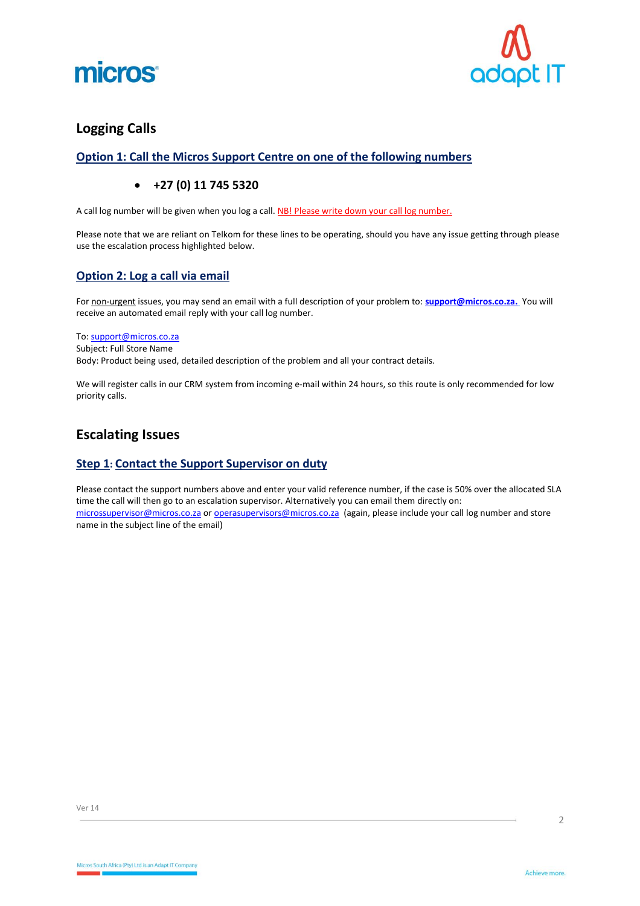



## **Logging Calls**

## **Option 1: Call the Micros Support Centre on one of the following numbers**

## • **+27 (0) 11 745 5320**

A call log number will be given when you log a call. NB! Please write down your call log number.

Please note that we are reliant on Telkom for these lines to be operating, should you have any issue getting through please use the escalation process highlighted below.

### **Option 2: Log a call via email**

For non-urgent issues, you may send an email with a full description of your problem to: **[support@micros.co.za.](mailto:support@micros.co.za)** You will receive an automated email reply with your call log number.

#### To[: support@micros.co.za](mailto:support@micros.co.za)

Subject: Full Store Name

Body: Product being used, detailed description of the problem and all your contract details.

We will register calls in our CRM system from incoming e-mail within 24 hours, so this route is only recommended for low priority calls.

## **Escalating Issues**

## **Step 1: Contact the Support Supervisor on duty**

Please contact the support numbers above and enter your valid reference number, if the case is 50% over the allocated SLA time the call will then go to an escalation supervisor. Alternatively you can email them directly on: [microssupervisor@micros.co.za](mailto:microssupervisor@micros.co.za) or [operasupervisors@micros.co.za](mailto:operasupervisors@micros.co.za) (again, please include your call log number and store name in the subject line of the email)

 $\overline{2}$